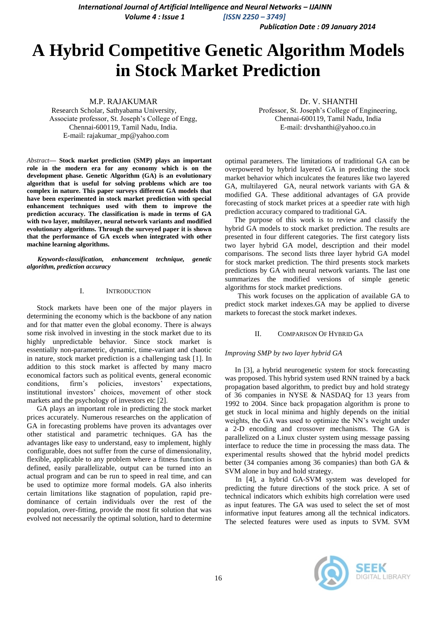*International Journal of Artificial Intelligence and Neural Networks - IJAINN Volume 4 : Issue 1 [ISSN 2250 – 3749]*

*Publication Date : 09 January 2014*

# **A Hybrid Competitive Genetic Algorithm Models in Stock Market Prediction**

M.P. RAJAKUMAR

Research Scholar, Sathyabama University, Associate professor, St. Joseph's College of Engg, Chennai-600119, Tamil Nadu, India. E-mail: rajakumar\_mp@yahoo.com

*Abstract***— Stock market prediction (SMP) plays an important role in the modern era for any economy which is on the development phase. Genetic Algorithm (GA) is an evolutionary algorithm that is useful for solving problems which are too complex in nature. This paper surveys different GA models that have been experimented in stock market prediction with special enhancement techniques used with them to improve the prediction accuracy. The classification is made in terms of GA with two layer, multilayer, neural network variants and modified evolutionary algorithms. Through the surveyed paper it is shown that the performance of GA excels when integrated with other machine learning algorithms.**

*Keywords-classification, enhancement technique, genetic algorithm, prediction accuracy*

### I. INTRODUCTION

Stock markets have been one of the major players in determining the economy which is the backbone of any nation and for that matter even the global economy. There is always some risk involved in investing in the stock market due to its highly unpredictable behavior. Since stock market is essentially non-parametric, dynamic, time-variant and chaotic in nature, stock market prediction is a challenging task [1]. In addition to this stock market is affected by many macro economical factors such as political events, general economic conditions, firm's policies, investors' expectations, institutional investors' choices, movement of other stock markets and the psychology of investors etc [2].

GA plays an important role in predicting the stock market prices accurately. Numerous researches on the application of GA in forecasting problems have proven its advantages over other statistical and parametric techniques. GA has the advantages like easy to understand, easy to implement, highly configurable, does not suffer from the curse of dimensionality, flexible, applicable to any problem where a fitness function is defined, easily parallelizable, output can be turned into an actual program and can be run to speed in real time, and can be used to optimize more formal models. GA also inherits certain limitations like stagnation of population, rapid predominance of certain individuals over the rest of the population, over-fitting, provide the most fit solution that was evolved not necessarily the optimal solution, hard to determine

Dr. V. SHANTHI Professor, St. Joseph's College of Engineering, Chennai-600119, Tamil Nadu, India E-mail: drvshanthi@yahoo.co.in

optimal parameters. The limitations of traditional GA can be overpowered by hybrid layered GA in predicting the stock market behavior which inculcates the features like two layered GA, multilayered GA, neural network variants with GA & modified GA. These additional advantages of GA provide forecasting of stock market prices at a speedier rate with high prediction accuracy compared to traditional GA.

 The purpose of this work is to review and classify the hybrid GA models to stock market prediction. The results are presented in four different categories. The first category lists two layer hybrid GA model, description and their model comparisons. The second lists three layer hybrid GA model for stock market prediction. The third presents stock markets predictions by GA with neural network variants. The last one summarizes the modified versions of simple genetic algorithms for stock market predictions.

 This work focuses on the application of available GA to predict stock market indexes.GA may be applied to diverse markets to forecast the stock market indexes.

## II. COMPARISON OF HYBRID GA

## *Improving SMP by two layer hybrid GA*

In [3], a hybrid neurogenetic system for stock forecasting was proposed. This hybrid system used RNN trained by a back propagation based algorithm, to predict buy and hold strategy of 36 companies in NYSE & NASDAQ for 13 years from 1992 to 2004. Since back propagation algorithm is prone to get stuck in local minima and highly depends on the initial weights, the GA was used to optimize the NN's weight under a 2-D encoding and crossover mechanisms. The GA is parallelized on a Linux cluster system using message passing interface to reduce the time in processing the mass data. The experimental results showed that the hybrid model predicts better (34 companies among 36 companies) than both GA & SVM alone in buy and hold strategy.

In [4], a hybrid GA-SVM system was developed for predicting the future directions of the stock price. A set of technical indicators which exhibits high correlation were used as input features. The GA was used to select the set of most informative input features among all the technical indicators. The selected features were used as inputs to SVM. SVM

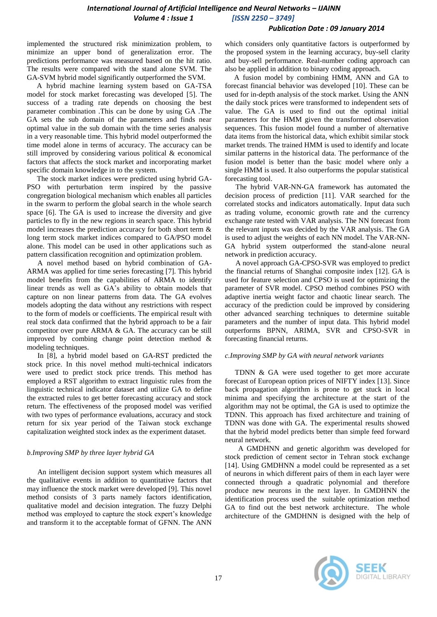# *International Journal of Artificial Intelligence and Neural Networks – IJAINN Volume 4 : Issue 1 [ISSN 2250 – 3749]*

## *Publication Date : 09 January 2014*

implemented the structured risk minimization problem, to minimize an upper bond of generalization error. The predictions performance was measured based on the hit ratio. The results were compared with the stand alone SVM. The GA-SVM hybrid model significantly outperformed the SVM.

A hybrid machine learning system based on GA-TSA model for stock market forecasting was developed [5]. The success of a trading rate depends on choosing the best parameter combination .This can be done by using GA .The GA sets the sub domain of the parameters and finds near optimal value in the sub domain with the time series analysis in a very reasonable time. This hybrid model outperformed the time model alone in terms of accuracy. The accuracy can be still improved by considering various political & economical factors that affects the stock market and incorporating market specific domain knowledge in to the system.

The stock market indices were predicted using hybrid GA-PSO with perturbation term inspired by the passive congregation biological mechanism which enables all particles in the swarm to perform the global search in the whole search space [6]. The GA is used to increase the diversity and give particles to fly in the new regions in search space. This hybrid model increases the prediction accuracy for both short term & long term stock market indices compared to GA/PSO model alone. This model can be used in other applications such as pattern classification recognition and optimization problem.

A novel method based on hybrid combination of GA-ARMA was applied for time series forecasting [7]. This hybrid model benefits from the capabilities of ARMA to identify linear trends as well as GA's ability to obtain models that capture on non linear patterns from data. The GA evolves models adopting the data without any restrictions with respect to the form of models or coefficients. The empirical result with real stock data confirmed that the hybrid approach to be a fair competitor over pure ARMA & GA. The accuracy can be still improved by combing change point detection method & modeling techniques.

In [8], a hybrid model based on GA-RST predicted the stock price. In this novel method multi-technical indicators were used to predict stock price trends. This method has employed a RST algorithm to extract linguistic rules from the linguistic technical indicator dataset and utilize GA to define the extracted rules to get better forecasting accuracy and stock return. The effectiveness of the proposed model was verified with two types of performance evaluations, accuracy and stock return for six year period of the Taiwan stock exchange capitalization weighted stock index as the experiment dataset.

## *b.Improving SMP by three layer hybrid GA*

An intelligent decision support system which measures all the qualitative events in addition to quantitative factors that may influence the stock market were developed [9]. This novel method consists of 3 parts namely factors identification, qualitative model and decision integration. The fuzzy Delphi method was employed to capture the stock expert's knowledge and transform it to the acceptable format of GFNN. The ANN

which considers only quantitative factors is outperformed by the proposed system in the learning accuracy, buy-sell clarity and buy-sell performance. Real-number coding approach can also be applied in addition to binary coding approach.

 A fusion model by combining HMM, ANN and GA to forecast financial behavior was developed [10]. These can be used for in-depth analysis of the stock market. Using the ANN the daily stock prices were transformed to independent sets of value. The GA is used to find out the optimal initial parameters for the HMM given the transformed observation sequences. This fusion model found a number of alternative data items from the historical data, which exhibit similar stock market trends. The trained HMM is used to identify and locate similar patterns in the historical data. The performance of the fusion model is better than the basic model where only a single HMM is used. It also outperforms the popular statistical forecasting tool.

The hybrid VAR-NN-GA framework has automated the decision process of prediction [11]. VAR searched for the correlated stocks and indicators automatically. Input data such as trading volume, economic growth rate and the currency exchange rate tested with VAR analysis. The NN forecast from the relevant inputs was decided by the VAR analysis. The GA is used to adjust the weights of each NN model. The VAR-NN-GA hybrid system outperformed the stand-alone neural network in prediction accuracy.

A novel approach GA-CPSO-SVR was employed to predict the financial returns of Shanghai composite index [12]. GA is used for feature selection and CPSO is used for optimizing the parameter of SVR model. CPSO method combines PSO with adaptive inertia weight factor and chaotic linear search. The accuracy of the prediction could be improved by considering other advanced searching techniques to determine suitable parameters and the number of input data. This hybrid model outperforms BPNN, ARIMA, SVR and CPSO-SVR in forecasting financial returns.

## *c.Improving SMP by GA with neural network variants*

TDNN & GA were used together to get more accurate forecast of European option prices of NIFTY index [13]. Since back propagation algorithm is prone to get stuck in local minima and specifying the architecture at the start of the algorithm may not be optimal, the GA is used to optimize the TDNN. This approach has fixed architecture and training of TDNN was done with GA. The experimental results showed that the hybrid model predicts better than simple feed forward neural network.

A GMDHNN and genetic algorithm was developed for stock prediction of cement sector in Tehran stock exchange [14]. Using GMDHNN a model could be represented as a set of neurons in which different pairs of them in each layer were connected through a quadratic polynomial and therefore produce new neurons in the next layer. In GMDHNN the identification process used the suitable optimization method GA to find out the best network architecture. The whole architecture of the GMDHNN is designed with the help of

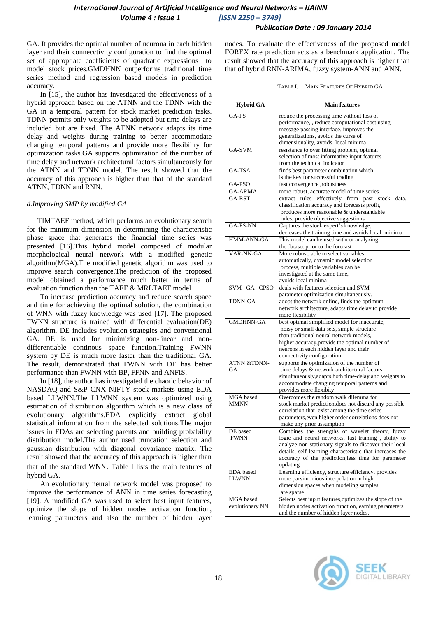# *International Journal of Artificial Intelligence and Neural Networks – IJAINN Volume 4 : Issue 1 [ISSN 2250 – 3749]*

## *Publication Date : 09 January 2014*

GA. It provides the optimal number of neurona in each hidden layer and their connecctivity configuration to find the optimal set of approptiate coefficients of quadratic expressions to model stock prices.GMDHNN outperforms traditional time series method and regression based models in prediction accuracy.

In [15], the author has investigated the effectiveness of a hybrid approach based on the ATNN and the TDNN with the GA in a temporal pattern for stock market prediction tasks. TDNN permits only weights to be adopted but time delays are included but are fixed. The ATNN network adapts its time delay and weights during training to better accommodate changing temporal patterns and provide more flexibility for optimization tasks.GA supports optimization of the number of time delay and network architectural factors simultaneously for the ATNN and TDNN model. The result showed that the accuracy of this approach is higher than that of the standard ATNN, TDNN and RNN.

## *d.Improving SMP by modified GA*

TIMTAEF method, which performs an evolutionary search for the minimum dimension in determining the characteristic phase space that generates the financial time series was presented [16].This hybrid model composed of modular morphological neural network with a modified genetic algorithm(MGA).The modified genetic algorithm was used to improve search convergence.The prediction of the proposed model obtained a performance much better in terms of evaluation function than the TAEF & MRLTAEF model

To increase prediction accuracy and reduce search space and time for achieving the optimal solution, the combination of WNN with fuzzy knowledge was used [17]. The proposed FWNN structure is trained with differential evaluation(DE) algorithm. DE includes evolution strategies and conventional GA. DE is used for minimizing non-linear and nondifferentiable continous space function.Training FWNN system by DE is much more faster than the traditional GA. The result, demonstrated that FWNN with DE has better performance than FWNN with BP, FFNN and ANFIS.

In [18], the author has investigated the chaotic behavior of NASDAQ and S&P CNX NIFTY stock markets using EDA based LLWNN.The LLWNN system was optimized using estimation of distribution algorithm which is a new class of evolutionary algorithms.EDA explicitly extract global statistical information from the selected solutions.The major issues in EDAs are selecting parents and building probability distribution model.The author used truncation selection and gaussian distribution with diagonal covariance matrix. The result showed that the accuracy of this approach is higher than that of the standard WNN. Table I lists the main features of hybrid GA.

An evolutionary neural network model was proposed to improve the performance of ANN in time series forecasting [19]. A modified GA was used to select best input features, optimize the slope of hidden modes activation function, learning parameters and also the number of hidden layer nodes. To evaluate the effectiveness of the proposed model FOREX rate prediction acts as a benchmark application. The result showed that the accuracy of this approach is higher than that of hybrid RNN-ARIMA, fuzzy system-ANN and ANN.

| TABLE I. | MAIN FEATURES OF HYBRID GA |
|----------|----------------------------|
|----------|----------------------------|

| <b>Hybrid GA</b>       | <b>Main features</b>                                                        |
|------------------------|-----------------------------------------------------------------------------|
| GA-FS                  | reduce the processing time without loss of                                  |
|                        | performance, , reduce computational cost using                              |
|                        | message passing interface, improves the                                     |
|                        | generalizations, avoids the curse of                                        |
|                        | dimensionality, avoids local minima                                         |
| GA-SVM                 | resistance to over fitting problem, optimal                                 |
|                        | selection of most informative input features                                |
|                        | from the technical indicator                                                |
| GA-TSA                 | finds best parameter combination which<br>is the key for successful trading |
| GA-PSO                 | fast convergence ,robustness                                                |
| GA-ARMA                | more robust, accurate model of time series                                  |
| GA-RST                 | extract rules effectively from past stock<br>data.                          |
|                        | classification accuracy and forecasts profit,                               |
|                        | produces more reasonable & understandable                                   |
|                        | rules, provide objective suggestions                                        |
| GA-FS-NN               | Captures the stock expert's knowledge,                                      |
|                        | decreases the training time and avoids local minima                         |
| HMM-ANN-GA             | This model can be used without analyzing                                    |
|                        | the dataset prior to the forecast                                           |
| VAR-NN-GA              | More robust, able to select variables                                       |
|                        | automatically, dynamic model selection                                      |
|                        | process, multiple variables can be                                          |
|                        | investigated at the same time,                                              |
|                        | avoids local minima                                                         |
| SVM-GA-CPSO            | deals with features selection and SVM                                       |
|                        | parameter optimization simultaneously.                                      |
| <b>TDNN-GA</b>         | adopt the network online, finds the optimum                                 |
|                        | network architecture, adapts time delay to provide                          |
|                        | more flexibility                                                            |
| <b>GMDHNN-GA</b>       | best optimal simplified model for inaccurate,                               |
|                        | noisy or small data sets, simple structure                                  |
|                        | than traditional neural network models,                                     |
|                        | higher accuracy, provids the optimal number of                              |
|                        | neurons in each hidden layer and their                                      |
|                        | connectivity configuration                                                  |
| <b>ATNN &amp;TDNN-</b> | supports the optimization of the number of                                  |
| GA                     | time delays & network architectural factors                                 |
|                        | simultaneously, adapts both time-delay and weights to                       |
|                        | accommodate changing temporal patterns and                                  |
|                        | provides more flexibity                                                     |
| MGA based              | Overcomes the random walk dilemma for                                       |
| <b>MMNN</b>            | stock market prediction, does not discard any possible                      |
|                        | correlation that exist among the time series                                |
|                        | parameters, even higher order correlations does not                         |
|                        | make any prior assumption                                                   |
| DE based               | Combines the strengths of wavelet theory, fuzzy                             |
| <b>FWNN</b>            | logic and neural networks, fast training, ability to                        |
|                        | analyze non-stationary signals to discover their local                      |
|                        | details, self learning characteristic that increases the                    |
|                        | accuracy of the prediction, less time for parameter                         |
|                        | updating                                                                    |
| <b>EDA</b> based       | Learning efficiency, structure efficiency, provides                         |
| LLWNN                  | more parsimonious interpolation in high                                     |
|                        | dimension spaces when modeling samples                                      |
|                        | are sparse                                                                  |
| MGA based              | Selects best input features, optimizes the slope of the                     |
| evolutionary NN        | hidden nodes activation function, learning parameters                       |
|                        | and the number of hidden layer nodes.                                       |